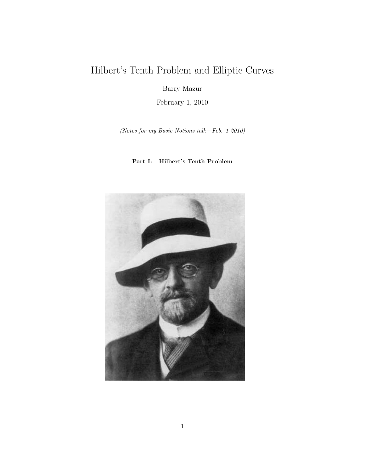# Hilbert's Tenth Problem and Elliptic Curves

Barry Mazur

February 1, 2010

(Notes for my Basic Notions talk—Feb. 1 2010)

### Part I: Hilbert's Tenth Problem

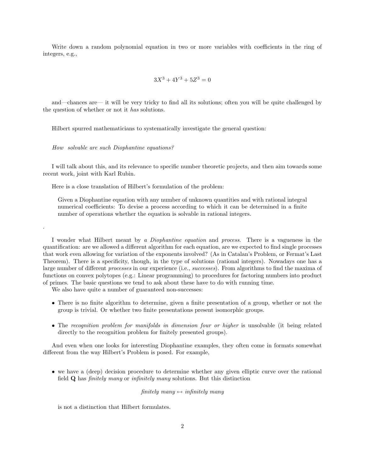Write down a random polynomial equation in two or more variables with coefficients in the ring of integers, e.g.,

$$
3X^3 + 4Y^3 + 5Z^3 = 0
$$

and—chances are— it will be very tricky to find all its solutions; often you will be quite challenged by the question of whether or not it has solutions.

Hilbert spurred mathematicians to systematically investigate the general question:

How solvable are such Diophantine equations?

.

I will talk about this, and its relevance to specific number theoretic projects, and then aim towards some recent work, joint with Karl Rubin.

Here is a close translation of Hilbert's formulation of the problem:

Given a Diophantine equation with any number of unknown quantities and with rational integral numerical coefficients: To devise a process according to which it can be determined in a finite number of operations whether the equation is solvable in rational integers.

I wonder what Hilbert meant by a Diophantine equation and process. There is a vagueness in the quantification: are we allowed a different algorithm for each equation, are we expected to find single processes that work even allowing for variation of the exponents involved? (As in Catalan's Problem, or Fermat's Last Theorem). There is a specificity, though, in the type of solutions (rational integers). Nowadays one has a large number of different processes in our experience (i.e., successes). From algorithms to find the maxima of functions on convex polytopes (e.g.: Linear programming) to procedures for factoring numbers into product of primes. The basic questions we tend to ask about these have to do with running time.

We also have quite a number of guaranteed non-successes:

- There is no finite algorithm to determine, given a finite presentation of a group, whether or not the group is trivial. Or whether two finite presentations present isomorphic groups.
- The recognition problem for manifolds in dimension four or higher is unsolvable (it being related directly to the recognition problem for finitely presented groups).

And even when one looks for interesting Diophantine examples, they often come in formats somewhat different from the way Hilbert's Problem is posed. For example,

• we have a (deep) decision procedure to determine whether any given elliptic curve over the rational field Q has finitely many or infinitely many solutions. But this distinction

finitely many  $\leftrightarrow$  infinitely many

is not a distinction that Hilbert formulates.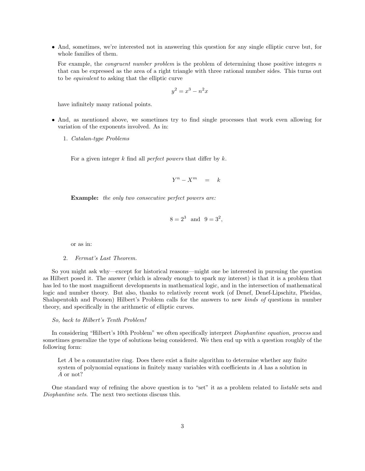• And, sometimes, we're interested not in answering this question for any single elliptic curve but, for whole families of them.

For example, the *congruent number problem* is the problem of determining those positive integers n that can be expressed as the area of a right triangle with three rational number sides. This turns out to be equivalent to asking that the elliptic curve

$$
y^2 = x^3 - n^2x
$$

have infinitely many rational points.

- And, as mentioned above, we sometimes try to find single processes that work even allowing for variation of the exponents involved. As in:
	- 1. Catalan-type Problems

For a given integer  $k$  find all *perfect powers* that differ by  $k$ .

$$
Y^n - X^m = k
$$

Example: the only two consecutive perfect powers are:

$$
8 = 2^3
$$
 and  $9 = 3^2$ ,

or as in:

### 2. Fermat's Last Theorem.

So you might ask why—except for historical reasons—might one be interested in pursuing the question as Hilbert posed it. The answer (which is already enough to spark my interest) is that it is a problem that has led to the most magnificent developments in mathematical logic, and in the intersection of mathematical logic and number theory. But also, thanks to relatively recent work (of Denef, Denef-Lipschitz, Pheidas, Shalapentokh and Poonen) Hilbert's Problem calls for the answers to new kinds of questions in number theory, and specifically in the arithmetic of elliptic curves.

#### So, back to Hilbert's Tenth Problem!

In considering "Hilbert's 10th Problem" we often specifically interpret Diophantine equation, process and sometimes generalize the type of solutions being considered. We then end up with a question roughly of the following form:

Let A be a commutative ring. Does there exist a finite algorithm to determine whether any finite system of polynomial equations in finitely many variables with coefficients in A has a solution in A or not?

One standard way of refining the above question is to "set" it as a problem related to listable sets and Diophantine sets. The next two sections discuss this.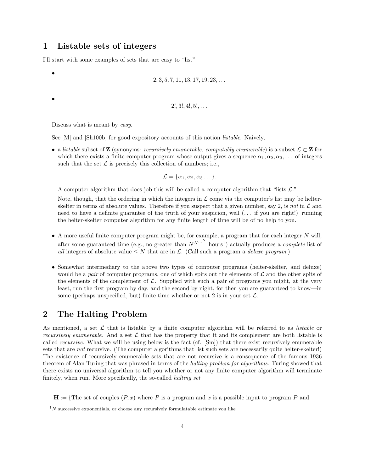# 1 Listable sets of integers

I'll start with some examples of sets that are easy to "list"

```
2, 3, 5, 7, 11, 13, 17, 19, 23, \ldots
```
 $2!, 3!, 4!, 5!, \ldots$ 

Discuss what is meant by easy.

•

•

See [M] and [Sh100b] for good expository accounts of this notion listable. Naively,

• a listable subset of **Z** (synonyms: *recursively enumerable, computably enumerable)* is a subset  $\mathcal{L} \subset \mathbf{Z}$  for which there exists a finite computer program whose output gives a sequence  $\alpha_1, \alpha_2, \alpha_3, \ldots$  of integers such that the set  $\mathcal L$  is precisely this collection of numbers; i.e.,

$$
\mathcal{L} = \{\alpha_1, \alpha_2, \alpha_3 \dots \}.
$$

A computer algorithm that does job this will be called a computer algorithm that "lists  $\mathcal{L}$ ."

Note, though, that the ordering in which the integers in  $\mathcal L$  come via the computer's list may be helterskelter in terms of absolute values. Therefore if you suspect that a given number, say 2, is not in  $\mathcal L$  and need to have a definite guarantee of the truth of your suspicion, well (. . . if you are right!) running the helter-skelter computer algorithm for any finite length of time will be of no help to you.

- A more useful finite computer program might be, for example, a program that for each integer  $N$  will, after some guaranteed time (e.g., no greater than  $N^{N...N}$  hours<sup>1</sup>) actually produces a *complete* list of all integers of absolute value  $\leq N$  that are in L. (Call such a program a *deluxe program*.)
- Somewhat intermediary to the above two types of computer programs (helter-skelter, and deluxe) would be a pair of computer programs, one of which spits out the elements of  $\mathcal L$  and the other spits of the elements of the complement of  $\mathcal{L}$ . Supplied with such a pair of programs you might, at the very least, run the first program by day, and the second by night, for then you are guaranteed to know—in some (perhaps unspecified, but) finite time whether or not 2 is in your set  $\mathcal{L}$ .

## 2 The Halting Problem

As mentioned, a set  $\mathcal L$  that is listable by a finite computer algorithm will be referred to as *listable* or recursively enumerable. And a set  $\mathcal L$  that has the property that it and its complement are both listable is called recursive. What we will be using below is the fact (cf. [Sm]) that there exist recursively enumerable sets that are *not* recursive. (The computer algorithms that list such sets are necessarily quite helter-skelter!) The existence of recursively enumerable sets that are not recursive is a consequence of the famous 1936 theorem of Alan Turing that was phrased in terms of the halting problem for algorithms. Turing showed that there exists no universal algorithm to tell you whether or not any finite computer algorithm will terminate finitely, when run. More specifically, the so-called *halting set* 

 $H := \{$ The set of couples  $(P, x)$  where P is a program and x is a possible input to program P and

 $1<sup>N</sup>$  successive exponentials, or choose any recursively formulatable estimate you like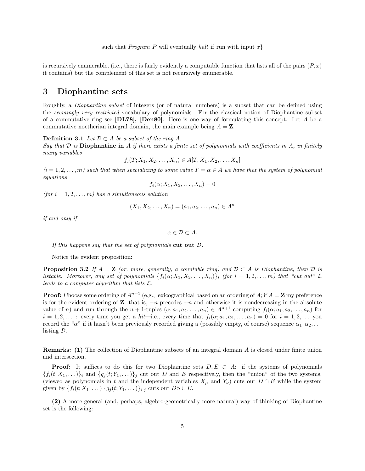is recursively enumerable, (i.e., there is fairly evidently a computable function that lists all of the pairs  $(P, x)$ ) it contains) but the complement of this set is not recursively enumerable.

### 3 Diophantine sets

Roughly, a Diophantine subset of integers (or of natural numbers) is a subset that can be defined using the seemingly very restricted vocabulary of polynomials. For the classical notion of Diophantine subset of a commutative ring see  $[\text{DL78}]$ ,  $[\text{Den80}]$ . Here is one way of formulating this concept. Let A be a commutative noetherian integral domain, the main example being  $A = \mathbf{Z}$ .

**Definition 3.1** Let  $\mathcal{D} \subset A$  be a subset of the ring A.

Say that  $\mathcal D$  is Diophantine in A if there exists a finite set of polynomials with coefficients in A, in finitely many variables

$$
f_i(T; X_1, X_2, \dots, X_n) \in A[T, X_1, X_2, \dots, X_n]
$$

 $(i = 1, 2, \ldots, m)$  such that when specializing to some value  $T = \alpha \in A$  we have that the system of polynomial equations

$$
f_i(\alpha; X_1, X_2, \dots, X_n) = 0
$$

(for  $i = 1, 2, \ldots, m$ ) has a simultaneous solution

$$
(X_1, X_2, \ldots, X_n) = (a_1, a_2, \ldots, a_n) \in A^n
$$

if and only if

 $\alpha \in \mathcal{D} \subset A$ .

If this happens say that the set of polynomials cut out  $D$ .

Notice the evident proposition:

**Proposition 3.2** If  $A = \mathbf{Z}$  (or, more, generally, a countable ring) and  $D \subset A$  is Diophantine, then D is listable. Moreover, any set of polynomials  $\{f_i(\alpha; X_1, X_2, \ldots, X_n)\}\$ i (for  $i = 1, 2, \ldots, m$ ) that "cut out"  $\mathcal L$ leads to a computer algorithm that lists L.

**Proof:** Choose some ordering of  $A^{n+1}$  (e.g., lexicographical based on an ordering of A; if  $A = \mathbf{Z}$  my preference is for the evident ordering of  $\mathbf{Z}$ : that is,  $-n$  precedes  $+n$  and otherwise it is nondecreasing in the absolute value of n) and run through the  $n + 1$ -tuples  $(\alpha; a_1, a_2, \ldots, a_n) \in A^{n+1}$  computing  $f_i(\alpha; a_1, a_2, \ldots, a_n)$  for  $i = 1, 2, \ldots$ : every time you get a hit—i.e., every time that  $f_i(\alpha; a_1, a_2, \ldots, a_n) = 0$  for  $i = 1, 2, \ldots$  you record the " $\alpha$ " if it hasn't been previously recorded giving a (possibly empty, of course) sequence  $\alpha_1, \alpha_2, \ldots$ listing D.

Remarks: (1) The collection of Diophantine subsets of an integral domain A is closed under finite union and intersection.

**Proof:** It suffices to do this for two Diophantine sets  $D, E \subset A$ : if the systems of polynomials  $\{f_i(t; X_1, \ldots)\}\$ i and  $\{g_j(t; Y_1, \ldots)\}\$ i cut out D and E respectively, then the "union" of the two systems, (viewed as polynomials in t and the independent variables  $X_\mu$  and  $Y_\nu$ ) cuts out  $D \cap E$  while the system given by  $\{f_i(t; X_1, \dots) \cdot g_j(t; Y_1, \dots)\}_{i,j}$  cuts out  $DS \cup E$ .

(2) A more general (and, perhaps, algebro-geometrically more natural) way of thinking of Diophantine set is the following: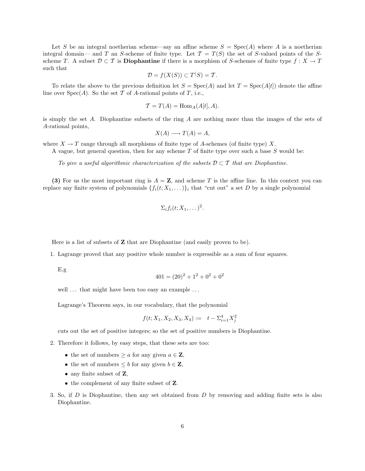Let S be an integral noetherian scheme—say an affine scheme  $S = \text{Spec}(A)$  where A is a noetherian integral domain— and T an S-scheme of finite type. Let  $\mathcal{T} = T(S)$  the set of S-valued points of the Sscheme T. A subset  $\mathcal{D} \subset \mathcal{T}$  is **Diophantine** if there is a morphism of S-schemes of finite type  $f : X \to T$ such that

$$
\mathcal{D} = f(X(S)) \subset T^{S}() = \mathcal{T}.
$$

To relate the above to the previous definition let  $S = Spec(A)$  and let  $T = Spec(A[t])$  denote the affine line over  $Spec(A)$ . So the set T of A-rational points of T, i.e.,

$$
\mathcal{T} = T(A) = \text{Hom}_A(A[t], A).
$$

is simply the set A. Diophantine subsets of the ring A are nothing more than the images of the sets of A-rational points,

$$
X(A) \longrightarrow T(A) = A,
$$

where  $X \to T$  range through all morphisms of finite type of A-schemes (of finite type) X.

A vague, but general question, then for any scheme  $T$  of finite type over such a base  $S$  would be:

To give a useful algorithmic characterization of the subsets  $D \subset T$  that are Diophantine.

(3) For us the most important ring is  $A = \mathbf{Z}$ , and scheme T is the affine line. In this context you can replace any finite system of polynomials  $\{f_i(t; X_1, \ldots)\}\$ <sub>i</sub> that "cut out" a set D by a single polynomial

$$
\Sigma_i f_i(t; X_1, \dots)^2.
$$

Here is a list of subsets of  $Z$  that are Diophantine (and easily proven to be).

1. Lagrange proved that any positive whole number is expressible as a sum of four squares.

E.g

$$
401 = (20)^2 + 1^2 + 0^2 + 0^2
$$

well ... that might have been too easy an example ...

Lagrange's Theorem says, in our vocabulary, that the polynomial

$$
f(t; X_1, X_2, X_3, X_4) := t - \sum_{i=1}^4 X_i^2
$$

cuts out the set of positive integers; so the set of positive numbers is Diophantine.

- 2. Therefore it follows, by easy steps, that these sets are too:
	- the set of numbers  $\geq a$  for any given  $a \in \mathbf{Z}$ ,
	- the set of numbers  $\leq b$  for any given  $b \in \mathbb{Z}$ ,
	- any finite subset of **Z**,
	- the complement of any finite subset of **Z**.
- 3. So, if D is Diophantine, then any set obtained from D by removing and adding finite sets is also Diophantine.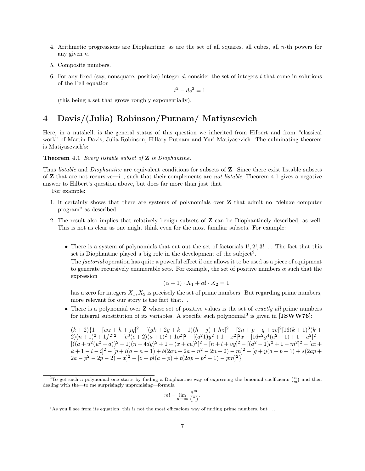- 4. Arithmetic progressions are Diophantine; as are the set of all squares, all cubes, all  $n$ -th powers for any given n.
- 5. Composite numbers.
- 6. For any fixed (say, nonsquare, positive) integer d, consider the set of integers t that come in solutions of the Pell equation

$$
t^2 - ds^2 = 1
$$

(this being a set that grows roughly exponentially).

# 4 Davis/(Julia) Robinson/Putnam/ Matiyasevich

Here, in a nutshell, is the general status of this question we inherited from Hilbert and from "classical work" of Martin Davis, Julia Robinson, Hillary Putnam and Yuri Matiyasevich. The culminating theorem is Matiyasevich's:

Theorem 4.1 Every listable subset of **Z** is Diophantine.

Thus *listable* and *Diophantine* are equivalent conditions for subsets of **Z**. Since there exist listable subsets of  $Z$  that are not recursive—i.., such that their complements are not listable, Theorem 4.1 gives a negative answer to Hilbert's question above, but does far more than just that.

For example:

- 1. It certainly shows that there are systems of polynomials over Z that admit no "deluxe computer program" as described.
- 2. The result also implies that relatively benign subsets of Z can be Diophantinely described, as well. This is not as clear as one might think even for the most familiar subsets. For example:
	- There is a system of polynomials that cut out the set of factorials  $1, 2, 3, \ldots$  The fact that this set is Diophantine played a big role in the development of the subject<sup>2</sup>.

The *factorial* operation has quite a powerful effect if one allows it to be used as a piece of equipment to generate recursively enumerable sets. For example, the set of positive numbers  $\alpha$  such that the expression

$$
(\alpha + 1) \cdot X_1 + \alpha! \cdot X_2 = 1
$$

has a zero for integers  $X_1, X_2$  is precisely the set of prime numbers. But regarding prime numbers, more relevant for our story is the fact that...

• There is a polynomial over  $Z$  whose set of positive values is the set of *exactly all* prime numbers for integral substitution of its variables. A specific such polynomial<sup>3</sup> is given in [JSWW76]:

 $(k+2){1 - [wz + h + jq]^2 - [(gk + 2g + k + 1)(h + j) + hz]^2 - [2n + p + q + ze]^2[16(k+1)^3(k+1)]}$  $2(n+1)^2 + 1f^2]^2 - [e^3(e+2)(a+1)^2 + 1o^2]^2 - [(a^21)y^2 + 1 - x^2]^2x - [16r^2y^4(a^2-1) + 1 - u^2]^2 [( (a + u<sup>2</sup>(u<sup>2</sup> - a))<sup>2</sup> - 1)(n + 4dy)<sup>2</sup> + 1 - (x + cu)<sup>2</sup>]<sup>2</sup> - [n + l + vy]<sup>2</sup> - [(a<sup>2</sup> - 1)l<sup>2</sup> + 1 - m<sup>2</sup>]<sup>2</sup> - [ai +$  $k+1-l-i^2-[p+l(a-n-1)+b(2an+2a-n^2-2n-2)-m]^2-[q+y(a-p-1)+s(2ap+$  $2a-p^2-2p-2)-x^2-2p^2-2p+2(a-p)+t(2ap-p^2-1)-pm^2$ 

$$
m!=\lim_{n\to\infty}\frac{n^m}{\binom{n}{m}}.
$$

<sup>&</sup>lt;sup>2</sup>To get such a polynomial one starts by finding a Diophantine way of expressing the binomial coefficients  $\binom{n}{m}$  and then dealing with the—to me surprisingly unpromising—formula

 $3$ As you'll see from its equation, this is not the most efficacious way of finding prime numbers, but ...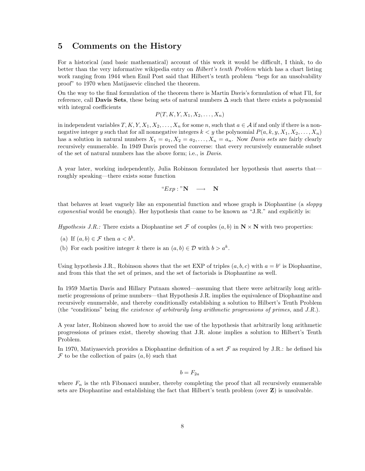### 5 Comments on the History

For a historical (and basic mathematical) account of this work it would be difficult, I think, to do better than the very informative wikipedia entry on Hilbert's tenth Problem which has a chart listing work ranging from 1944 when Emil Post said that Hilbert's tenth problem "begs for an unsolvability proof" to 1970 when Matijasevic clinched the theorem.

On the way to the final formulation of the theorem there is Martin Davis's formulation of what I'll, for reference, call **Davis Sets**, these being sets of natural numbers  $\Delta$  such that there exists a polynomial with integral coefficients

 $P(T, K, Y, X_1, X_2, \ldots, X_n)$ 

in independent variables  $T, K, Y, X_1, X_2, \ldots, X_n$  for some n, such that  $a \in A$  if and only if there is a nonnegative integer y such that for all nonnegative integers  $k < y$  the polynomial  $P(a, k, y, X_1, X_2, \ldots, X_n)$ has a solution in natural numbers  $X_1 = a_1, X_2 = a_2, \ldots, X_n = a_n$ . Now *Davis sets* are fairly clearly recursively enumerable. In 1949 Davis proved the converse: that every recursively enumerable subset of the set of natural numbers has the above form; i.e., is Davis.

A year later, working independently, Julia Robinson formulated her hypothesis that asserts that roughly speaking—there exists some function

" $Exp : "N \longrightarrow N$ 

that behaves at least vaguely like an exponential function and whose graph is Diophantine (a sloppy exponential would be enough). Her hypothesis that came to be known as "J.R." and explicitly is:

Hypothesis J.R.: There exists a Diophantine set F of couples  $(a, b)$  in  $N \times N$  with two properties:

- (a) If  $(a, b) \in \mathcal{F}$  then  $a < b^b$ .
- (b) For each positive integer k there is an  $(a, b) \in \mathcal{D}$  with  $b > a^k$ .

Using hypothesis J.R., Robinson shows that the set EXP of triples  $(a, b, c)$  with  $a = b^c$  is Diophantine, and from this that the set of primes, and the set of factorials is Diophantine as well.

In 1959 Martin Davis and Hillary Putnam showed—assuming that there were arbitrarily long arithmetic progressions of prime numbers—that Hypothesis J.R. implies the equivalence of Diophantine and recursively enumerable, and thereby conditionally establishing a solution to Hilbert's Tenth Problem (the "conditions" being the existence of arbitrarily long arithmetic progressions of primes, and J.R.).

A year later, Robinson showed how to avoid the use of the hypothesis that arbitrarily long arithmetic progressions of primes exist, thereby showing that J.R. alone implies a solution to Hilbert's Tenth Problem.

In 1970, Matiyasevich provides a Diophantine definition of a set  $\mathcal F$  as required by J.R.: he defined his  $\mathcal F$  to be the collection of pairs  $(a, b)$  such that

$$
b=F_{2a}
$$

where  $F_n$  is the nth Fibonacci number, thereby completing the proof that all recursively enumerable sets are Diophantine and establishing the fact that Hilbert's tenth problem (over Z) is unsolvable.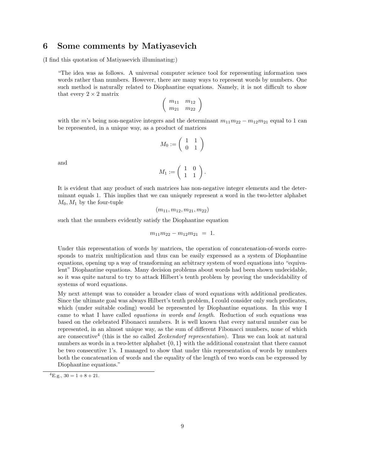### 6 Some comments by Matiyasevich

(I find this quotation of Matiyasevich illuminating:)

"The idea was as follows. A universal computer science tool for representing information uses words rather than numbers. However, there are many ways to represent words by numbers. One such method is naturally related to Diophantine equations. Namely, it is not difficult to show that every  $2 \times 2$  matrix

$$
\left(\begin{array}{cc}m_{11}&m_{12}\\m_{21}&m_{22}\end{array}\right)
$$

with the m's being non-negative integers and the determinant  $m_{11}m_{22} - m_{12}m_{21}$  equal to 1 can be represented, in a unique way, as a product of matrices

$$
M_0:=\left(\begin{array}{cc}1&1\\0&1\end{array}\right)
$$

and

$$
M_1:=\left(\begin{array}{cc} 1 & 0 \\ 1 & 1 \end{array}\right).
$$

It is evident that any product of such matrices has non-negative integer elements and the determinant equals 1. This implies that we can uniquely represent a word in the two-letter alphabet  $M_0, M_1$  by the four-tuple

$$
(m_{11}, m_{12}, m_{21}, m_{22})
$$

such that the numbers evidently satisfy the Diophantine equation

$$
m_{11}m_{22}-m_{12}m_{21} = 1.
$$

Under this representation of words by matrices, the operation of concatenation-of-words corresponds to matrix multiplication and thus can be easily expressed as a system of Diophantine equations, opening up a way of transforming an arbitrary system of word equations into "equivalent" Diophantine equations. Many decision problems about words had been shown undecidable, so it was quite natural to try to attack Hilbert's tenth problem by proving the undecidability of systems of word equations.

My next attempt was to consider a broader class of word equations with additional predicates. Since the ultimate goal was always Hilbert's tenth problem, I could consider only such predicates, which (under suitable coding) would be represented by Diophantine equations. In this way I came to what I have called equations in words and length. Reduction of such equations was based on the celebrated Fibonacci numbers. It is well known that every natural number can be represented, in an almost unique way, as the sum of different Fibonacci numbers, none of which are consecutive<sup>4</sup> (this is the so called *Zeckendorf representation*). Thus we can look at natural numbers as words in a two-letter alphabet {0, 1} with the additional constraint that there cannot be two consecutive 1's. I managed to show that under this representation of words by numbers both the concatenation of words and the equality of the length of two words can be expressed by Diophantine equations."

 ${}^{4}E.g., 30 = 1 + 8 + 21.$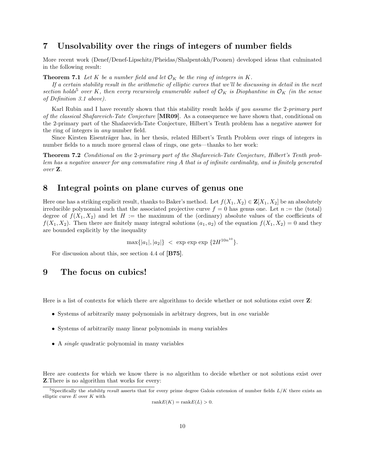# 7 Unsolvability over the rings of integers of number fields

More recent work (Denef/Denef-Lipschitz/Pheidas/Shalpentokh/Poonen) developed ideas that culminated in the following result:

**Theorem 7.1** Let K be a number field and let  $\mathcal{O}_K$  be the ring of integers in K.

If a certain stability result in the arithmetic of elliptic curves that we'll be discussing in detail in the next section holds<sup>5</sup> over K, then every recursively enumerable subset of  $\mathcal{O}_K$  is Diophantine in  $\mathcal{O}_K$  (in the sense of Definition 3.1 above).

Karl Rubin and I have recently shown that this stability result holds if you assume the 2-primary part of the classical Shafarevich-Tate Conjecture [MR09]. As a consequence we have shown that, conditional on the 2-primary part of the Shafarevich-Tate Conjecture, Hilbert's Tenth problem has a negative answer for the ring of integers in any number field.

Since Kirsten Eisenträger has, in her thesis, related Hilbert's Tenth Problem over rings of integers in number fields to a much more general class of rings, one gets—thanks to her work:

Theorem 7.2 Conditional on the 2-primary part of the Shafarevich-Tate Conjecture, Hilbert's Tenth problem has a negative answer for any commutative ring A that is of infinite cardinality, and is finitely generated over Z.

### 8 Integral points on plane curves of genus one

Here one has a striking explicit result, thanks to Baker's method. Let  $f(X_1, X_2) \in \mathbf{Z}[X_1, X_2]$  be an absolutely irreducible polynomial such that the associated projective curve  $f = 0$  has genus one. Let  $n :=$  the (total) degree of  $f(X_1, X_2)$  and let H := the maximum of the (ordinary) absolute values of the coefficients of  $f(X_1, X_2)$ . Then there are finitely many integral solutions  $(a_1, a_2)$  of the equation  $f(X_1, X_2) = 0$  and they are bounded explicitly by the inequality

 $\max\{|a_1|,|a_2|\}$  < exp exp  $\{2H^{10n^{10}}\}.$ 

For discussion about this, see section 4.4 of [B75].

### 9 The focus on cubics!

Here is a list of contexts for which there are algorithms to decide whether or not solutions exist over  $\mathbf{Z}$ :

- Systems of arbitrarily many polynomials in arbitrary degrees, but in one variable
- Systems of arbitrarily many linear polynomials in *many* variables
- A single quadratic polynomial in many variables

Here are contexts for which we know there is no algorithm to decide whether or not solutions exist over Z.There is no algorithm that works for every:

<sup>&</sup>lt;sup>5</sup>Specifically the *stability result* asserts that for every prime degree Galois extension of number fields  $L/K$  there exists an elliptic curve  $E$  over  $K$  with

 $rankE(K) = rankE(L) > 0.$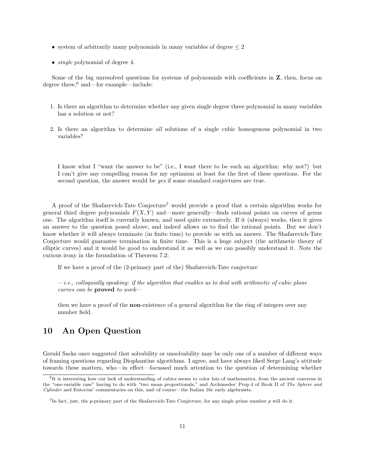- system of arbitrarily many polynomials in many variables of degree  $\leq 2$
- *single* polynomial of degree 4.

Some of the big unresolved questions for systems of polynomials with coefficients in  $Z$ , then, focus on degree three,<sup>6</sup> and—for example—include:

- 1. Is there an algorithm to determine whether any given single degree three polynomial in many variables has a solution or not?
- 2. Is there an algorithm to determine all solutions of a single cubic homogenous polynomial in two variables?

I know what I "want the answer to be" (i.e., I want there to be such an algorithm: why not?) but I can't give any compelling reason for my optimism at least for the first of these questions. For the second question, the answer would be yes if some standard conjectures are true.

A proof of the Shafarevich-Tate Conjecture<sup>7</sup> would provide a proof that a certain algorithm works for general third degree polynomials  $F(X, Y)$  and—more generally—finds rational points on curves of genus one. The algorithm itself is currently known, and used quite extensively. If it (always) works, then it gives an answer to the question posed above, and indeed allows us to find the rational points. But we don't know whether it will always terminate (in finite time) to provide us with an answer. The Shafarevich-Tate Conjecture would guarantee termination in finite time. This is a huge subject (the arithmetic theory of elliptic curves) and it would be good to understand it as well as we can possibly understand it. Note the curious irony in the formulation of Theorem 7.2:

If we have a proof of the (2-primary part of the) Shafarevich-Tate conjecture

 $-i.e.,$  colloquially speaking: if the algorithm that enables us to deal with arithmetic of cubic plane curves can be proved to work—

then we have a proof of the non-existence of a general algorithm for the ring of integers over any number field.

# 10 An Open Question

Gerald Sacks once suggested that solvability or unsolvability may be only one of a number of different ways of framing questions regarding Diophantine algorithms. I agree, and have always liked Serge Lang's attitude towards these matters, who—in effect—focussed much attention to the question of determining whether

<sup>&</sup>lt;sup>6</sup>It is interesting how our lack of understanding of cubics seems to color lots of mathematics, from the ancient concerns in the "one-variable case" having to do with "two mean proportionals," and Archimedes' Prop.4 of Book II of The Sphere and Cylinder and Eutocius' commentaries on this, and–of course—the Italian 16c early algebraists.

<sup>&</sup>lt;sup>7</sup>In fact, just, the p-primary part of the Shafarevich-Tate Conjecture, for any single prime number p will do it.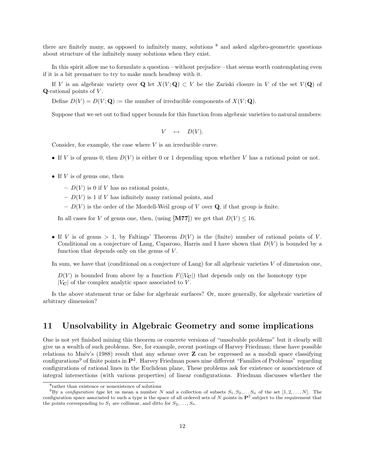there are finitely many, as opposed to infinitely many, solutions <sup>8</sup> and asked algebro-geometric questions about structure of the infinitely many solutions when they exist.

In this spirit allow me to formulate a question—without prejudice—that seems worth contemplating even if it is a bit premature to try to make much headway with it.

If V is an algebraic variety over Q let  $X(V; Q) \subset V$  be the Zariski closure in V of the set  $V(Q)$  of  $Q$ -rational points of  $V$ .

Define  $D(V) = D(V; \mathbf{Q}) :=$  the number of irreducible components of  $X(V; \mathbf{Q})$ .

Suppose that we set out to find upper bounds for this function from algebraic varieties to natural numbers:

$$
V \quad \mapsto \quad D(V).
$$

Consider, for example, the case where V is an irreducible curve.

- If V is of genus 0, then  $D(V)$  is either 0 or 1 depending upon whether V has a rational point or not.
- If  $V$  is of genus one, then
	- $D(V)$  is 0 if V has no rational points,
	- $D(V)$  is 1 if V has infinitely many rational points, and
	- $D(V)$  is the order of the Mordell-Weil group of V over Q, if that group is finite.

In all cases for V of genus one, then, (using [M77]) we get that  $D(V) \leq 16$ .

• If V is of genus > 1, by Faltings' Theorem  $D(V)$  is the (finite) number of rational points of V. Conditional on a conjecture of Lang, Caparoso, Harris and I have shown that  $D(V)$  is bounded by a function that depends only on the genus of V.

In sum, we have that (conditional on a conjecture of Lang) for all algebraic varieties V of dimension one,

 $D(V)$  is bounded from above by a function  $F(|V_{\bf C}|)$  that depends only on the homotopy type  $|V_{\rm C}|$  of the complex analytic space associated to V.

Is the above statement true or false for algebraic surfaces? Or, more generally, for algebraic varieties of arbitrary dimension?

### 11 Unsolvability in Algebraic Geometry and some implications

One is not yet finished mining this theorem or concrete versions of "unsolvable problems" but it clearly will give us a wealth of such problems. See, for example, recent postings of Harvey Friedman; these have possible relations to Mnëv's (1988) result that any scheme over  $\mathbf Z$  can be expressed as a moduli space classifying configurations<sup>9</sup> of finite points in  $\mathbf{P}^2$ . Harvey Friedman poses nine different "Families of Problems" regarding configurations of rational lines in the Euclidean plane, These problems ask for existence or nonexistence of integral intersections (with various properties) of linear configurations. Friedman discusses whether the

<sup>8</sup> rather than existence or nonexistence of solutions

<sup>&</sup>lt;sup>9</sup>By a configuration type let us mean a number N and a collection of subsets  $S_1, S_2, \ldots S_n$  of the set  $[1, 2, \ldots, N]$ . The configuration space associated to such a type is the space of all ordered sets of N points in  $\mathbf{P}^2$  subject to the requirement that the points corresponding to  $S_1$  are collinear, and ditto for  $S_2, \ldots, S_n$ .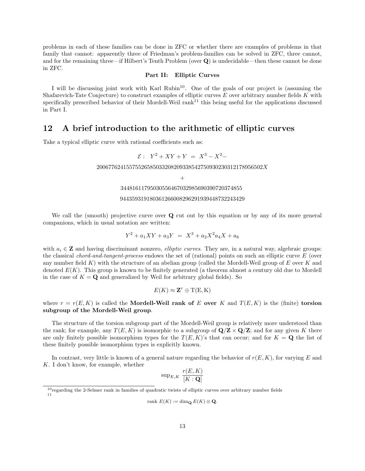problems in each of these families can be done in ZFC or whether there are examples of problems in that family that cannot: apparently three of Friedman's problem-families can be solved in ZFC, three cannot, and for the remaining three—if Hilbert's Tenth Problem (over  $\bf{Q}$ ) is undecidable—then these cannot be done in ZFC.

### Part II: Elliptic Curves

I will be discussing joint work with Karl Rubin<sup>10</sup>. One of the goals of our project is (assuming the Shafarevich-Tate Conjecture) to construct examples of elliptic curves  $E$  over arbitrary number fields  $K$  with specifically prescribed behavior of their Mordell-Weil rank<sup>11</sup> this being useful for the applications discussed in Part I.

# 12 A brief introduction to the arithmetic of elliptic curves

Take a typical elliptic curve with rational coefficients such as:

$$
\mathcal{E}: Y^2 + XY + Y = X^3 - X^2 -
$$

 $20067762415575526585033208209338542750930230312178956502X$ 

34481611795030556467032985690390720374855

#### 944359319180361266008296291939448732243429

We call the (smooth) projective curve over **Q** cut out by this equation or by any of its more general companions, which in usual notation are written:

$$
Y^2 + a_1XY + a_3Y = X^3 + a_2X^2a_4X + a_6
$$

with  $a_i \in \mathbf{Z}$  and having discriminant nonzero, *elliptic curves*. They are, in a natural way, algebraic groups: the classical chord-and-tangent-process endows the set of (rational) points on such an elliptic curve E (over any number field K) with the structure of an abelian group (called the Mordell-Weil group of E over K and denoted  $E(K)$ . This group is known to be finitely generated (a theorem almost a century old due to Mordell in the case of  $K = \mathbf{Q}$  and generalized by Weil for arbitrary global fields). So

$$
E(K) \approx \mathbf{Z}^r \oplus T(E, K)
$$

where  $r = r(E, K)$  is called the **Mordell-Weil rank of** E **over** K and  $T(E, K)$  is the (finite) **torsion** subgroup of the Mordell-Weil group.

The structure of the torsion subgroup part of the Mordell-Weil group is relatively more understood than the rank; for example, any  $T(E, K)$  is isomorphic to a subgroup of  $\mathbf{Q}/\mathbf{Z} \times \mathbf{Q}/\mathbf{Z}$ ; and for any given K there are only finitely possible isomorphism types for the  $T(E, K)$ 's that can occur; and for  $K = \mathbf{Q}$  the list of these finitely possible isomorphism types is explicitly known.

In contrast, very little is known of a general nature regarding the behavior of  $r(E, K)$ , for varying E and K. I don't know, for example, whether

$$
\text{sup}_{E,K} \; \frac{r(E,K)}{[K:\mathbf{Q}]}
$$

$$
rank E(K) := \dim_{\mathbf{Q}} E(K) \otimes \mathbf{Q}.
$$

 $^{+}$ 

<sup>&</sup>lt;sup>10</sup>regarding the 2-Selmer rank in families of quadratic twists of elliptic curves over arbitrary number fields 11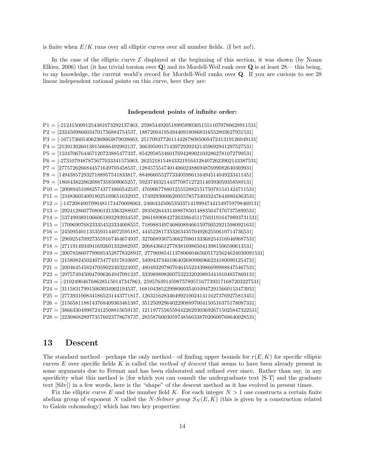is finite when  $E/K$  runs over all elliptic curves over all number fields. (I bet no!).

In the case of the elliptic curve  $\mathcal E$  displayed at the beginning of this section, it was shown (by Noam Elkies, 2006) that (it has trivial torsion over  $\bf{Q}$ ) and its Mordell-Weil rank over  $\bf{Q}$  is at least 28— this being, to my knowledge, the current world's record for Mordell-Weil ranks over Q. If you are curious to see 28 linear independent rational points on this curve, here they are:

#### Independent points of infinite order:

 $P1 = [-2124150091254381073292137463, 259854492051899599030515511070780628911531]$ P2 = [2334509866034701756884754537, 18872004195494469180868316552803627931531] P3 = [-1671736054062369063879038663, 251709377261144287808506947241319126049131] P4 = [2139130260139156666492982137, 36639509171439729202421459692941297527531] P5 = [1534706764467120723885477337, 85429585346017694289021032862781072799531] P6 = [-2731079487875677033341575063, 262521815484332191641284072623902143387531] P7 = [2775726266844571649705458537, 12845755474014060248869487699082640369931] P8 = [1494385729327188957541833817, 88486605527733405986116494514049233411451] P9 = [1868438228620887358509065257, 59237403214437708712725140393059358589131] P10 = [2008945108825743774866542537, 47690677880125552882151750781541424711531] P11 = [2348360540918025169651632937, 17492930006200557857340332476448804363531] P12 = [-1472084007090481174470008663, 246643450653503714199947441549759798469131] P13 = [2924128607708061213363288937, 28350264431488878501488356474767375899531] P14 = [5374993891066061893293934537, 286188908427263386451175031916479893731531] P15 = [1709690768233354523334008557, 71898834974686089466159700529215980921631] P16 = [2450954011353593144072595187, 4445228173532634357049262550610714736531] P17 = [2969254709273559167464674937, 32766893075366270801333682543160469687531] P18 = [2711914934941692601332882937, 2068436612778381698650413981506590613531] P19 = [20078586077996854528778328937, 2779608541137806604656051725624624030091531] P20 = [2158082450240734774317810697, 34994373401964026809969662241800901254731] P21 = [2004645458247059022403224937, 48049329780704645522439866999888475467531] P22 = [2975749450947996264947091337, 33398989826075322320208934410104857869131]  $P23 = [-2102490467686285150147347863, 259576391459875789571677393171687203227531]$ P24 = [311583179915063034902194537, 168104385229980603540109472915660153473931] P25 = [2773931008341865231443771817, 12632162834649921002414116273769275813451] P26 = [2156581188143768409363461387, 35125092964022908897004150516375178087331] P27 = [3866330499872412508815659137, 121197755655944226293036926715025847322531] P28 = [2230868289773576023778678737, 28558760030597485663387020600768640028531]

### 13 Descent

The standard method—perhaps the only method—of finding upper bounds for  $r(E, K)$  for specific elliptic curves E over specific fields K is called the method of descent that seems to have been already present in some arguments due to Fermat and has been elaborated and refined ever since. Rather than say, in any specificity what this method is (for which you can consult the undergraduate text [S-T] and the graduate text [Silv]) in a few words, here is the "shape" of the descent method as it has evolved in present times.

Fix the elliptic curve E and the number field K. For each integer  $N > 1$  one constructs a certain finite abelian group of exponent N called the N-Selmer group  $S_N(E, K)$  (this is given by a construction related to Galois cohomology) which has two key properties: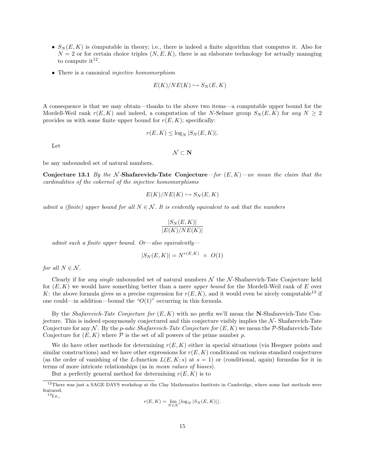- $S_N(E, K)$  is computable in theory; i.e., there is indeed a finite algorithm that computes it. Also for  $N = 2$  or for certain choice triples  $(N, E, K)$ , there is an elaborate technology for actually managing to compute  $it^{12}$ .
- There is a canonical *injective homomorphism*

$$
E(K)/NE(K) \hookrightarrow S_N(E, K)
$$

A consequence is that we may obtain—thanks to the above two items—a computable upper bound for the Mordell-Weil rank  $r(E, K)$  and indeed, a computation of the N-Selmer group  $S_N(E, K)$  for any  $N \geq 2$ provides us with some finite upper bound for  $r(E, K)$ ; specifically:

$$
r(E, K) \le \log_N |S_N(E, K)|.
$$

Let

 $\mathcal{N} \subset \mathbf{N}$ 

be any unbounded set of natural numbers.

Conjecture 13.1 By the N-Shafarevich-Tate Conjecture—for  $(E, K)$ —we mean the claim that the cardinalities of the cokernel of the injective homomorphisms

$$
E(K)/NE(K) \hookrightarrow S_N(E, K)
$$

admit a (finite) upper bound for all  $N \in \mathcal{N}$ . It is evidently equivalent to ask that the numbers

$$
\frac{|S_N(E,K)|}{|E(K)/NE(K)|}
$$

admit such a finite upper bound. Or—also equivalently—

$$
|S_N(E, K)| = N^{r(E, K)} \times O(1)
$$

for all  $N \in \mathcal{N}$ .

Clearly if for any single unbounded set of natural numbers  $\mathcal N$  the  $\mathcal N$ -Shafarevich-Tate Conjecture held for  $(E, K)$  we would have something better than a mere upper bound for the Mordell-Weil rank of E over K: the above formula gives us a precise expression for  $r(E, K)$ , and it would even be nicely computable<sup>13</sup> if one could—in addition—bound the " $O(1)$ " occurring in this formula.

By the Shafarevich-Tate Conjecture for  $(E, K)$  with no prefix we'll mean the N-Shafarevich-Tate Conjecture. This is indeed eponymously conjectured and this conjecture visibly implies the  $N$ -Shafarevich-Tate Conjecture for any N. By the *p-adic Shafarevich-Tate Conjecture for*  $(E, K)$  we mean the P-Shafarevich-Tate Conjecture for  $(E, K)$  where  $P$  is the set of all powers of the prime number p.

We do have other methods for determining  $r(E, K)$  either in special situations (via Heegner points and similar constructions) and we have other expressions for  $r(E, K)$  conditional on various standard conjectures (as the order of vanishing of the L-function  $L(E, K; s)$  at  $s = 1$ ) or (conditional, again) formulas for it in terms of more intricate relationships (as in mean values of biases).

But a perfectly general method for determining  $r(E, K)$  is to

 $^{13}$ I.e.,

$$
r(E, K) = \lim_{N \in \mathcal{N}} \lfloor \log_N |S_N(E, K)| \rfloor.
$$

<sup>&</sup>lt;sup>12</sup>There was just a SAGE DAYS workshop at the Clay Mathematics Institute in Cambridge, where some fast methods were featured.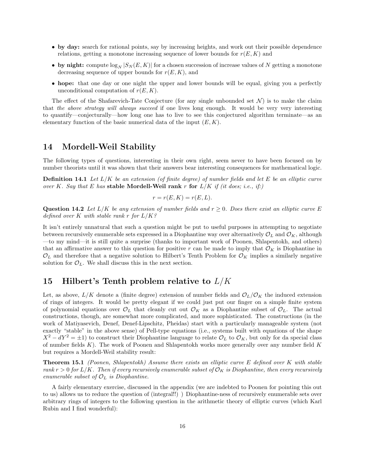- by day: search for rational points, say by increasing heights, and work out their possible dependence relations, getting a monotone increasing sequence of lower bounds for  $r(E, K)$  and
- by night: compute  $\log_N |S_N(E, K)|$  for a chosen succession of increase values of N getting a monotone decreasing sequence of upper bounds for  $r(E, K)$ , and
- hope: that one day or one night the upper and lower bounds will be equal, giving you a perfectly unconditional computation of  $r(E, K)$ .

The effect of the Shafarevich-Tate Conjecture (for any single unbounded set  $\mathcal{N}$ ) is to make the claim that the above strategy will always succeed if one lives long enough. It would be very very interesting to quantify—conjecturally—how long one has to live to see this conjectured algorithm terminate—as an elementary function of the basic numerical data of the input  $(E, K)$ .

### 14 Mordell-Weil Stability

The following types of questions, interesting in their own right, seem never to have been focused on by number theorists until it was shown that their answers bear interesting consequences for mathematical logic.

**Definition 14.1** Let  $L/K$  be an extension (of finite degree) of number fields and let E be an elliptic curve over K. Say that E has stable Mordell-Weil rank r for  $L/K$  if (it does; i.e., if.)

$$
r = r(E, K) = r(E, L).
$$

**Question 14.2** Let  $L/K$  be any extension of number fields and  $r \geq 0$ . Does there exist an elliptic curve E defined over K with stable rank r for  $L/K$ ?

It isn't entirely unnatural that such a question might be put to useful purposes in attempting to negotiate between recursively enumerable sets expressed in a Diophantine way over alternatively  $\mathcal{O}_L$  and  $\mathcal{O}_K$ , although —to my mind—it is still quite a surprise (thanks to important work of Poonen, Shlapentokh, and others) that an affirmative answer to this question for positive r can be made to imply that  $\mathcal{O}_K$  is Diophantine in  $\mathcal{O}_L$  and therefore that a negative solution to Hilbert's Tenth Problem for  $\mathcal{O}_K$  implies a similarly negative solution for  $\mathcal{O}_L$ . We shall discuss this in the next section.

# 15 Hilbert's Tenth problem relative to  $L/K$

Let, as above,  $L/K$  denote a (finite degree) extension of number fields and  $\mathcal{O}_L/\mathcal{O}_K$  the induced extension of rings of integers. It would be pretty elegant if we could just put our finger on a simple finite system of polynomial equations over  $\mathcal{O}_L$  that cleanly cut out  $\mathcal{O}_K$  as a Diophantine subset of  $\mathcal{O}_L$ . The actual constructions, though, are somewhat more complicated, and more sophisticated. The constructions (in the work of Matiyasevich, Denef, Denef-Lipschitz, Pheidas) start with a particularly manageable system (not exactly "stable" in the above sense) of Pell-type equations (i.e., systems built with equations of the shape  $X^2 - dY^2 = \pm 1$ ) to construct their Diophantine language to relate  $\mathcal{O}_L$  to  $\mathcal{O}_K$ , but only for da special class of number fields  $K$ ). The work of Poonen and Shlapentokh works more generally over any number field  $K$ but requires a Mordell-Weil stability result:

Theorem 15.1 (Poonen, Shlapentokh) Assume there exists an elliptic curve E defined over K with stable rank  $r > 0$  for  $L/K$ . Then if every recursively enumerable subset of  $\mathcal{O}_K$  is Diophantine, then every recursively enumerable subset of  $\mathcal{O}_L$  is Diophantine.

A fairly elementary exercise, discussed in the appendix (we are indebted to Poonen for pointing this out to us) allows us to reduce the question of (integral!!) ) Diophantine-ness of recursively enumerable sets over arbitrary rings of integers to the following question in the arithmetic theory of elliptic curves (which Karl Rubin and I find wonderful):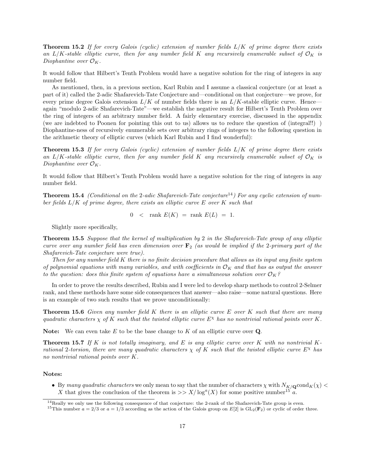**Theorem 15.2** If for every Galois (cyclic) extension of number fields  $L/K$  of prime degree there exists an L/K-stable elliptic curve, then for any number field K any recursively enumerable subset of  $\mathcal{O}_K$  is Diophantine over  $\mathcal{O}_K$ .

It would follow that Hilbert's Tenth Problem would have a negative solution for the ring of integers in any number field.

As mentioned, then, in a previous section, Karl Rubin and I assume a classical conjecture (or at least a part of it) called the 2-adic Shafarevich-Tate Conjecture and—conditional on that conjecture—we prove, for every prime degree Galois extension  $L/K$  of number fields there is an  $L/K$ -stable elliptic curve. Hence again "modulo 2-adic Shafarevich-Tate"—we establish the negative result for Hilbert's Tenth Problem over the ring of integers of an arbitrary number field. A fairly elementary exercise, discussed in the appendix (we are indebted to Poonen for pointing this out to us) allows us to reduce the question of (integral!!) ) Diophantine-ness of recursively enumerable sets over arbitrary rings of integers to the following question in the arithmetic theory of elliptic curves (which Karl Rubin and I find wonderful):

**Theorem 15.3** If for every Galois (cyclic) extension of number fields  $L/K$  of prime degree there exists an L/K-stable elliptic curve, then for any number field K any recursively enumerable subset of  $\mathcal{O}_K$  is Diophantine over  $\mathcal{O}_K$ .

It would follow that Hilbert's Tenth Problem would have a negative solution for the ring of integers in any number field.

**Theorem 15.4** (Conditional on the 2-adic Shafarevich-Tate conjecture<sup>14</sup>) For any cyclic extension of number fields  $L/K$  of prime degree, there exists an elliptic curve  $E$  over  $K$  such that

 $0 \leq$  rank  $E(K) =$  rank  $E(L) = 1$ .

Slightly more specifically,

Theorem 15.5 Suppose that the kernel of multiplication by 2 in the Shafarevich-Tate group of any elliptic curve over any number field has even dimension over  $\mathbf{F}_2$  (as would be implied if the 2-primary part of the Shafarevich-Tate conjecture were true).

Then for any number field K there is no finite decision procedure that allows as its input any finite system of polynomial equations with many variables, and with coefficients in  $\mathcal{O}_K$  and that has as output the answer to the question: does this finite system of equations have a simultaneous solution over  $\mathcal{O}_K$ ?

In order to prove the results described, Rubin and I were led to develop sharp methods to control 2-Selmer rank, and these methods have some side consequences that answer—also raise—some natural questions. Here is an example of two such results that we prove unconditionally:

**Theorem 15.6** Given any number field K there is an elliptic curve E over K such that there are many quadratic characters  $\chi$  of K such that the twisted elliptic curve  $E^{\chi}$  has no nontrivial rational points over K.

**Note:** We can even take E to be the base change to K of an elliptic curve over  $Q$ .

**Theorem 15.7** If K is not totally imaginary, and E is any elliptic curve over K with no nontrivial Krational 2-torsion, there are many quadratic characters  $\chi$  of K such that the twisted elliptic curve  $E^{\chi}$  has no nontrivial rational points over K.

### Notes:

• By many quadratic characters we only mean to say that the number of characters  $\chi$  with  $N_{K/\mathbf{Q}}\text{cond}_K(\chi)$  < X that gives the conclusion of the theorem is  $>> X/\log^{a}(X)$  for some positive number <sup>15</sup> a.

<sup>&</sup>lt;sup>14</sup>Really we only use the following consequence of that conjecture: the 2-rank of the Shafarevich-Tate group is even. <sup>15</sup>This number  $a = 2/3$  or  $a = 1/3$  according as the action of the Galois group on E[2] is GL<sub>2</sub>(F<sub>2</sub>) or cyclic of order three.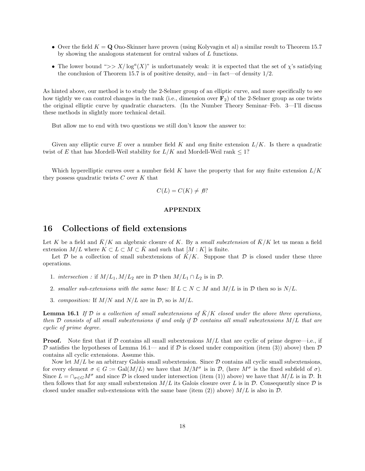- Over the field  $K = \mathbf{Q}$  Ono-Skinner have proven (using Kolyvagin et al) a similar result to Theorem 15.7 by showing the analogous statement for central values of L functions.
- The lower bound ">>  $X/\log^{a}(X)$ " is unfortunately weak: it is expected that the set of  $\chi$ 's satisfying the conclusion of Theorem 15.7 is of positive density, and—in fact—of density  $1/2$ .

As hinted above, our method is to study the 2-Selmer group of an elliptic curve, and more specifically to see how tightly we can control changes in the rank (i.e., dimension over  $\mathbf{F}_2$ ) of the 2-Selmer group as one twists the original elliptic curve by quadratic characters. (In the Number Theory Seminar–Feb. 3—I'll discuss these methods in slightly more technical detail.

But allow me to end with two questions we still don't know the answer to:

Given any elliptic curve E over a number field K and any finite extension  $L/K$ . Is there a quadratic twist of E that has Mordell-Weil stability for  $L/K$  and Mordell-Weil rank  $\leq 1$ ?

Which hyperelliptic curves over a number field K have the property that for any finite extension  $L/K$ they possess quadratic twists  $C$  over  $K$  that

$$
C(L) = C(K) \neq \emptyset?
$$

### APPENDIX

## 16 Collections of field extensions

Let K be a field and  $\bar{K}/K$  an algebraic closure of K. By a *small subextension* of  $\bar{K}/K$  let us mean a field extension  $M/L$  where  $K \subset L \subset M \subset K$  and such that  $[M : K]$  is finite.

Let D be a collection of small subextensions of  $\bar{K}/K$ . Suppose that D is closed under these three operations.

- 1. intersection : if  $M/L_1, M/L_2$  are in  $D$  then  $M/L_1 \cap L_2$  is in  $D$ .
- 2. smaller sub-extensions with the same base: If  $L \subset N \subset M$  and  $M/L$  is in  $D$  then so is  $N/L$ .
- 3. composition: If  $M/N$  and  $N/L$  are in  $D$ , so is  $M/L$ .

**Lemma 16.1** If  $D$  is a collection of small subextensions of  $K/K$  closed under the above three operations, then  $D$  consists of all small subextensions if and only if  $D$  contains all small subextensions  $M/L$  that are cyclic of prime degree.

**Proof.** Note first that if D contains all small subextensions  $M/L$  that are cyclic of prime degree—i.e., if D satisfies the hypotheses of Lemma 16.1— and if D is closed under composition (item (3)) above) then D contains all cyclic extensions. Assume this.

Now let  $M/L$  be an arbitrary Galois small subextension. Since  $D$  contains all cyclic small subextensions, for every element  $\sigma \in G := \text{Gal}(M/L)$  we have that  $M/M^{\sigma}$  is in  $\mathcal{D}$ , (here  $M^{\sigma}$  is the fixed subfield of  $\sigma$ ). Since  $L = \bigcap_{\sigma \in G} M^{\sigma}$  and since  $\mathcal D$  is closed under intersection (item (1)) above) we have that  $M/L$  is in  $\mathcal D$ . It then follows that for any small subextension  $M/L$  its Galois closure over L is in  $\mathcal D$ . Consequently since  $\mathcal D$  is closed under smaller sub-extensions with the same base (item (2)) above)  $M/L$  is also in  $\mathcal{D}$ .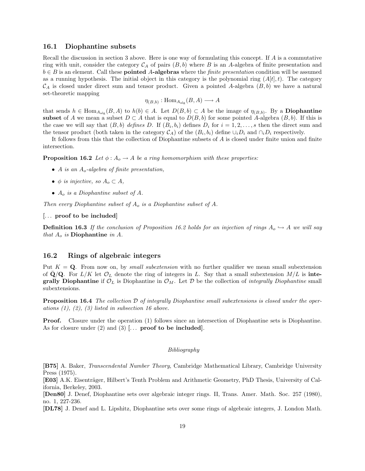### 16.1 Diophantine subsets

Recall the discussion in section 3 above. Here is one way of formulating this concept. If A is a commutative ring with unit, consider the category  $\mathcal{C}_A$  of pairs  $(B, b)$  where B is an A-algebra of finite presentation and  $b \in B$  is an element. Call these **pointed A-algebras** where the *finite presentation* condition will be assumed as a running hypothesis. The initial object in this category is the polynomial ring  $(A|t|, t)$ . The category  $\mathcal{C}_A$  is closed under direct sum and tensor product. Given a pointed A-algebra  $(B, b)$  we have a natural set-theoretic mapping

$$
\eta_{(B,b)} : \text{Hom}_{A_{\text{alg}}}(B, A) \longrightarrow A
$$

that sends  $h \in \text{Hom}_{A_{\text{alg}}}(B, A)$  to  $h(b) \in A$ . Let  $D(B, b) \subset A$  be the image of  $\eta_{(B,b)}$ . By a **Diophantine** subset of A we mean a subset  $D \subset A$  that is equal to  $D(B, b)$  for some pointed A-algebra  $(B, b)$ . If this is the case we will say that  $(B, b)$  defines D. If  $(B_i, b_i)$  defines  $D_i$  for  $i = 1, 2, ..., s$  then the direct sum and the tensor product (both taken in the category  $\mathcal{C}_A$ ) of the  $(B_i, b_i)$  define  $\cup_i D_i$  and  $\cap_i D_i$  respectively.

It follows from this that the collection of Diophantine subsets of A is closed under finite union and finite intersection.

**Proposition 16.2** Let  $\phi: A_o \to A$  be a ring homomorphism with these properties:

- A is an  $A_0$ -algebra of finite presentation,
- $\phi$  is injective, so  $A_0 \subset A$ ,
- $A_o$  is a Diophantine subset of A.

Then every Diophantine subset of  $A_o$  is a Diophantine subset of  $A$ .

### [... proof to be included]

**Definition 16.3** If the conclusion of Proposition 16.2 holds for an injection of rings  $A_0 \hookrightarrow A$  we will say that  $A_o$  is Diophantine in A.

### 16.2 Rings of algebraic integers

Put  $K = Q$ . From now on, by *small subextension* with no further qualifier we mean small subextension of  $\mathbf{Q}/\mathbf{Q}$ . For  $L/K$  let  $\mathcal{O}_L$  denote the ring of integers in L. Say that a small subextension  $M/L$  is integrally Diophantine if  $\mathcal{O}_L$  is Diophantine in  $\mathcal{O}_M$ . Let  $\mathcal D$  be the collection of *integrally Diophantine* small subextensions.

**Proposition 16.4** The collection  $D$  of integrally Diophantine small subextensions is closed under the operations  $(1)$ ,  $(2)$ ,  $(3)$  listed in subsection 16 above.

Proof. Closure under the operation (1) follows since an intersection of Diophantine sets is Diophantine. As for closure under  $(2)$  and  $(3)$  [... **proof to be included**].

#### Bibliography

[B75] A. Baker, Transcendental Number Theory, Cambridge Mathematical Library, Cambridge University Press (1975).

[E03] A.K. Eisenträger, Hilbert's Tenth Problem and Arithmetic Geometry, PhD Thesis, University of California, Berkeley, 2003.

[Den80] J. Denef, Diophantine sets over algebraic integer rings. II, Trans. Amer. Math. Soc. 257 (1980), no. 1, 227-236.

[DL78] J. Denef and L. Lipshitz, Diophantine sets over some rings of algebraic integers, J. London Math.